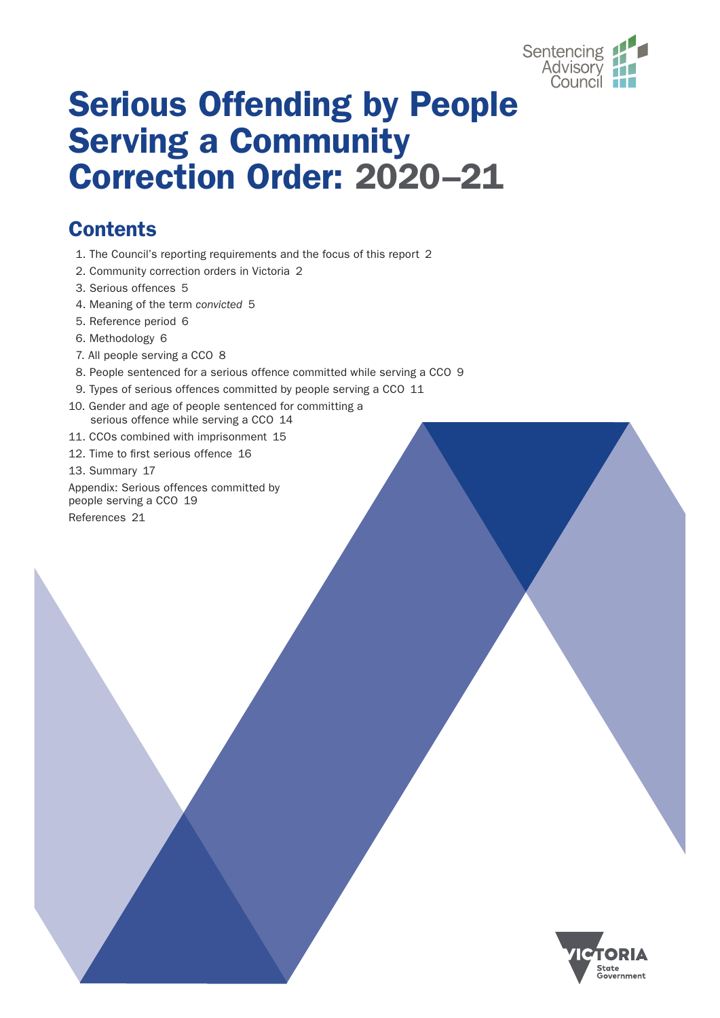

# Serious Offending by People Serving a Community Correction Order: 2020–21

# **Contents**

- [1. The Council's reporting requirements and the focus of this report](#page-1-0) 2
- [2. Community correction orders in Victoria](#page-1-0) 2
- [3. Serious offences](#page-4-0) 5
- [4. Meaning of the term](#page-4-0) *convicted* 5
- [5. Reference period](#page-5-0) 6
- [6. Methodology](#page-5-0) 6
- [7. All people serving a CCO](#page-7-0) 8
- [8. People sentenced for a serious offence committed while serving a CCO](#page-8-0) 9
- [9. Types of serious offences committed by people serving a CCO](#page-10-0) 11
- [10. Gender and age of people sentenced for committing a](#page-13-0) [serious offence while serving a CCO](#page-13-0) 14
- [11. CCOs combined with imprisonment](#page-14-0) 15
- [12. Time to first serious offence](#page-15-0) 16
- [13. Summary](#page-16-0) 17

[Appendix: Serious offences committed by](#page-18-0) [people serving a CCO](#page-18-0) 19 [References](#page-20-0) 21

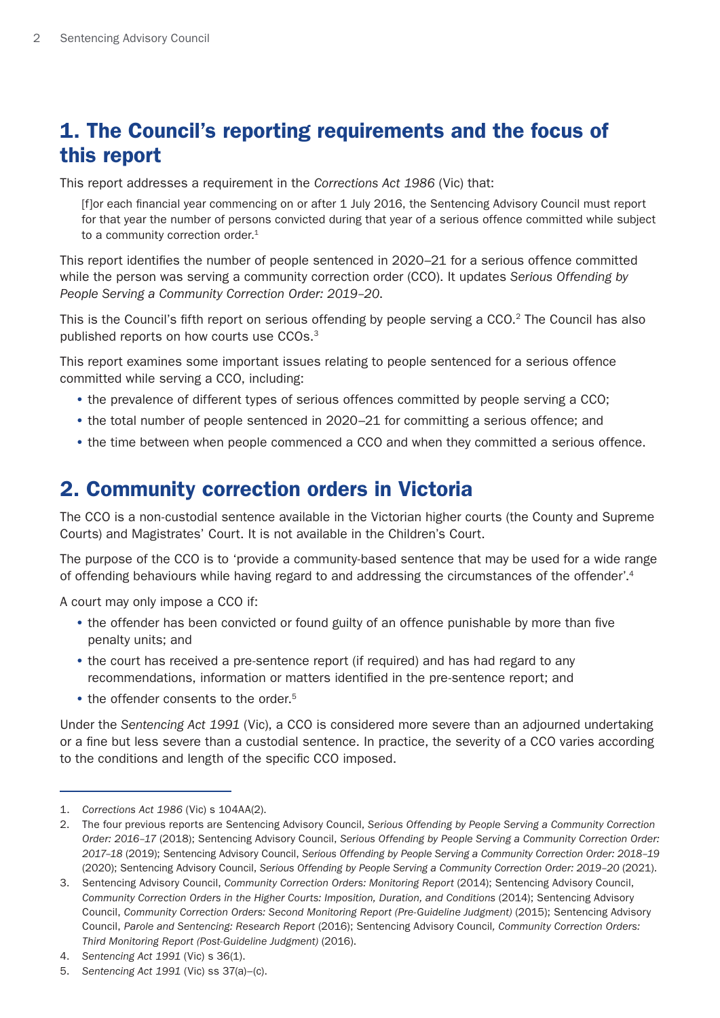# <span id="page-1-0"></span>1. The Council's reporting requirements and the focus of this report

This report addresses a requirement in the *Corrections Act 1986* (Vic) that:

[f]or each financial year commencing on or after 1 July 2016, the Sentencing Advisory Council must report for that year the number of persons convicted during that year of a serious offence committed while subject to a community correction order.<sup>1</sup>

This report identifies the number of people sentenced in 2020–21 for a serious offence committed while the person was serving a community correction order (CCO). It updates *Serious Offending by People Serving a Community Correction Order: 2019–20*.

This is the Council's fifth report on serious offending by people serving a CCO.<sup>2</sup> The Council has also published reports on how courts use CCOs.3

This report examines some important issues relating to people sentenced for a serious offence committed while serving a CCO, including:

- the prevalence of different types of serious offences committed by people serving a CCO;
- the total number of people sentenced in 2020–21 for committing a serious offence; and
- the time between when people commenced a CCO and when they committed a serious offence.

# 2. Community correction orders in Victoria

The CCO is a non-custodial sentence available in the Victorian higher courts (the County and Supreme Courts) and Magistrates' Court. It is not available in the Children's Court.

The purpose of the CCO is to 'provide a community-based sentence that may be used for a wide range of offending behaviours while having regard to and addressing the circumstances of the offender'.4

A court may only impose a CCO if:

- the offender has been convicted or found guilty of an offence punishable by more than five penalty units; and
- the court has received a pre-sentence report (if required) and has had regard to any recommendations, information or matters identified in the pre-sentence report; and
- the offender consents to the order.<sup>5</sup>

Under the *Sentencing Act 1991* (Vic), a CCO is considered more severe than an adjourned undertaking or a fine but less severe than a custodial sentence. In practice, the severity of a CCO varies according to the conditions and length of the specific CCO imposed.

<sup>1.</sup> *Corrections Act 1986* (Vic) s 104AA(2).

<sup>2.</sup> The four previous reports are Sentencing Advisory Council, *Serious Offending by People Serving a Community Correction Order: 2016–17* (2018); Sentencing Advisory Council, *Serious Offending by People Serving a Community Correction Order: 2017–18* (2019); Sentencing Advisory Council, *Serious Offending by People Serving a Community Correction Order: 2018–19*  (2020); Sentencing Advisory Council, *Serious Offending by People Serving a Community Correction Order: 2019–20* (2021).

<sup>3.</sup> Sentencing Advisory Council, *Community Correction Orders: Monitoring Report* (2014); Sentencing Advisory Council, *Community Correction Orders in the Higher Courts: Imposition, Duration, and Conditions* (2014); Sentencing Advisory Council, *Community Correction Orders: Second Monitoring Report (Pre-Guideline Judgment)* (2015); Sentencing Advisory Council, *Parole and Sentencing: Research Report* (2016); Sentencing Advisory Council*, Community Correction Orders: Third Monitoring Report (Post-Guideline Judgment)* (2016).

<sup>4.</sup> *Sentencing Act 1991* (Vic) s 36(1).

<sup>5.</sup> *Sentencing Act 1991* (Vic) ss 37(a)–(c).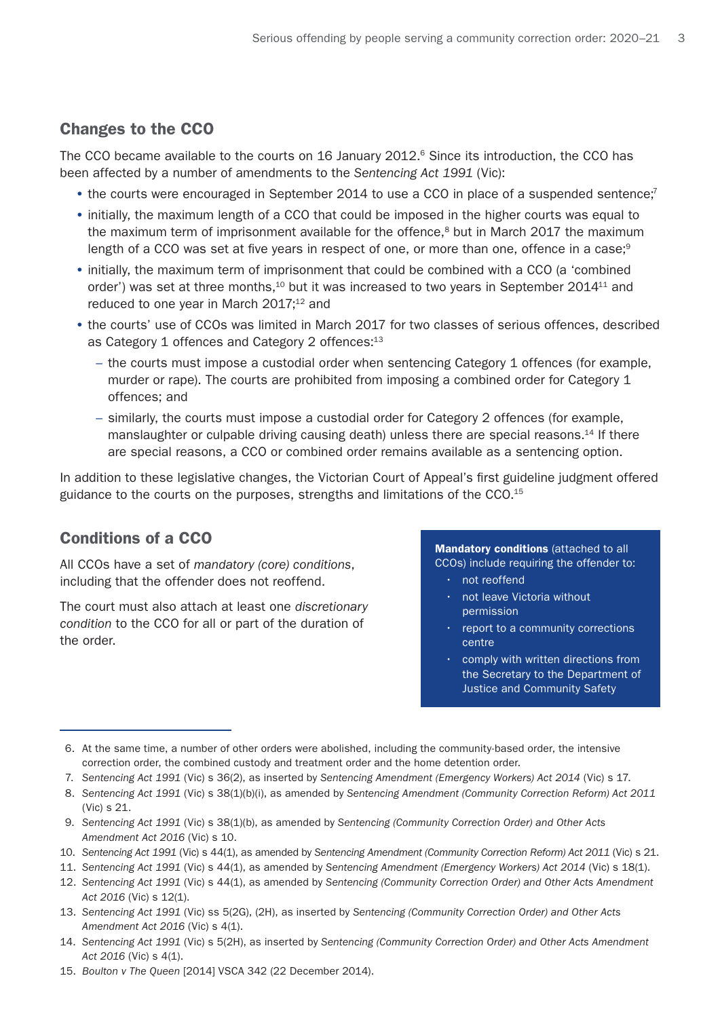### Changes to the CCO

The CCO became available to the courts on 16 January 2012.<sup>6</sup> Since its introduction, the CCO has been affected by a number of amendments to the *Sentencing Act 1991* (Vic):

- the courts were encouraged in September 2014 to use a CCO in place of a suspended sentence;<sup>7</sup>
- initially, the maximum length of a CCO that could be imposed in the higher courts was equal to the maximum term of imprisonment available for the offence, $8$  but in March 2017 the maximum length of a CCO was set at five years in respect of one, or more than one, offence in a case; $9$
- initially, the maximum term of imprisonment that could be combined with a CCO (a 'combined order') was set at three months,<sup>10</sup> but it was increased to two years in September 2014<sup>11</sup> and reduced to one year in March 2017;<sup>12</sup> and
- the courts' use of CCOs was limited in March 2017 for two classes of serious offences, described as Category 1 offences and Category 2 offences:<sup>13</sup>
	- the courts must impose a custodial order when sentencing Category 1 offences (for example, murder or rape). The courts are prohibited from imposing a combined order for Category 1 offences; and
	- similarly, the courts must impose a custodial order for Category 2 offences (for example, manslaughter or culpable driving causing death) unless there are special reasons.<sup>14</sup> If there are special reasons, a CCO or combined order remains available as a sentencing option.

In addition to these legislative changes, the Victorian Court of Appeal's first guideline judgment offered guidance to the courts on the purposes, strengths and limitations of the CCO.15

### Conditions of a CCO

All CCOs have a set of *mandatory (core) conditions*, including that the offender does not reoffend.

The court must also attach at least one *discretionary condition* to the CCO for all or part of the duration of the order.

Mandatory conditions (attached to all CCOs) include requiring the offender to:

- not reoffend
- not leave Victoria without permission
- report to a community corrections centre
- comply with written directions from the Secretary to the Department of Justice and Community Safety

- 7. *Sentencing Act 1991* (Vic) s 36(2), as inserted by *Sentencing Amendment (Emergency Workers) Act 2014* (Vic) s 17.
- 8. *Sentencing Act 1991* (Vic) s 38(1)(b)(i), as amended by *Sentencing Amendment (Community Correction Reform) Act 2011* (Vic) s 21.
- 9. *Sentencing Act 1991* (Vic) s 38(1)(b), as amended by *Sentencing (Community Correction Order) and Other Acts Amendment Act 2016* (Vic) s 10.
- 10. *Sentencing Act 1991* (Vic) s 44(1), as amended by *Sentencing Amendment (Community Correction Reform) Act 2011* (Vic) s 21.
- 11. *Sentencing Act 1991* (Vic) s 44(1), as amended by *Sentencing Amendment (Emergency Workers) Act 2014* (Vic) s 18(1).
- 12. *Sentencing Act 1991* (Vic) s 44(1), as amended by *Sentencing (Community Correction Order) and Other Acts Amendment Act 2016* (Vic) s 12(1).
- 13. *Sentencing Act 1991* (Vic) ss 5(2G), (2H), as inserted by *Sentencing (Community Correction Order) and Other Acts Amendment Act 2016* (Vic) s 4(1).
- 14. *Sentencing Act 1991* (Vic) s 5(2H), as inserted by *Sentencing (Community Correction Order) and Other Acts Amendment Act 2016* (Vic) s 4(1).
- 15. *Boulton v The Queen* [2014] VSCA 342 (22 December 2014).

<sup>6.</sup> At the same time, a number of other orders were abolished, including the community-based order, the intensive correction order, the combined custody and treatment order and the home detention order.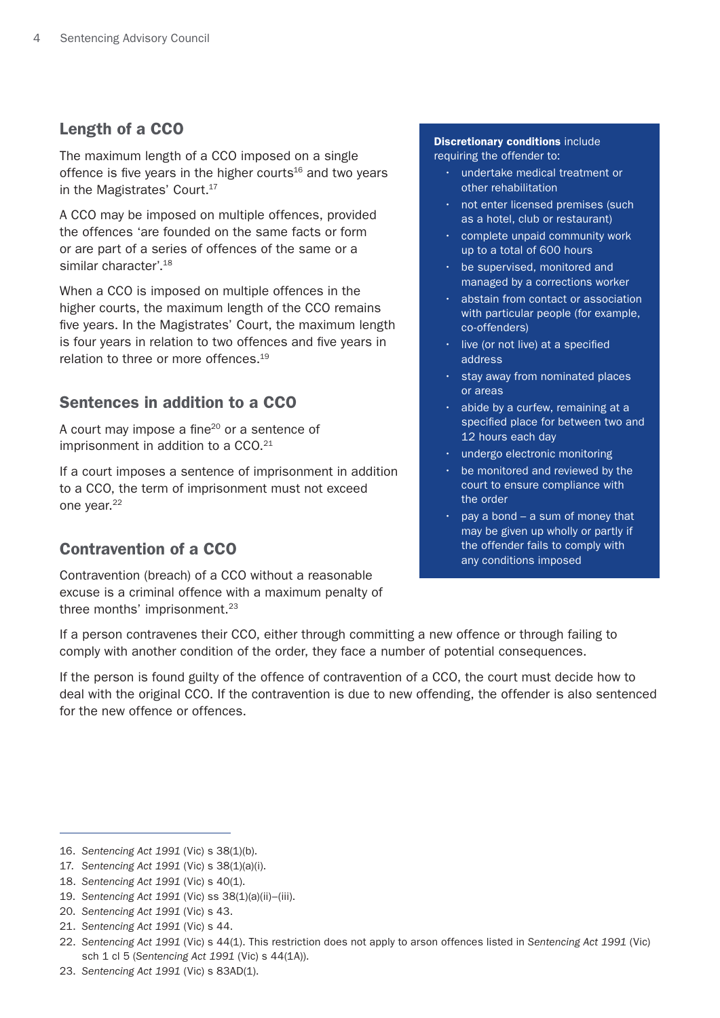### Length of a CCO

The maximum length of a CCO imposed on a single offence is five years in the higher courts $16$  and two years in the Magistrates' Court.<sup>17</sup>

A CCO may be imposed on multiple offences, provided the offences 'are founded on the same facts or form or are part of a series of offences of the same or a similar character'.18

When a CCO is imposed on multiple offences in the higher courts, the maximum length of the CCO remains five years. In the Magistrates' Court, the maximum length is four years in relation to two offences and five years in relation to three or more offences.<sup>19</sup>

### Sentences in addition to a CCO

A court may impose a fine<sup>20</sup> or a sentence of imprisonment in addition to a CCO.<sup>21</sup>

If a court imposes a sentence of imprisonment in addition to a CCO, the term of imprisonment must not exceed one year.<sup>22</sup>

### Contravention of a CCO

Contravention (breach) of a CCO without a reasonable excuse is a criminal offence with a maximum penalty of three months' imprisonment.<sup>23</sup>

### **Discretionary conditions include**

requiring the offender to:

- undertake medical treatment or other rehabilitation
- not enter licensed premises (such as a hotel, club or restaurant)
- complete unpaid community work up to a total of 600 hours
- be supervised, monitored and managed by a corrections worker
- abstain from contact or association with particular people (for example, co-offenders)
- live (or not live) at a specified address
- stay away from nominated places or areas
- abide by a curfew, remaining at a specified place for between two and 12 hours each day
- undergo electronic monitoring
- be monitored and reviewed by the court to ensure compliance with the order
- pay a bond  $-$  a sum of money that may be given up wholly or partly if the offender fails to comply with any conditions imposed

If a person contravenes their CCO, either through committing a new offence or through failing to comply with another condition of the order, they face a number of potential consequences.

If the person is found guilty of the offence of contravention of a CCO, the court must decide how to deal with the original CCO. If the contravention is due to new offending, the offender is also sentenced for the new offence or offences.

<sup>16.</sup> *Sentencing Act 1991* (Vic) s 38(1)(b).

<sup>17.</sup> *Sentencing Act 1991* (Vic) s 38(1)(a)(i).

<sup>18.</sup> *Sentencing Act 1991* (Vic) s 40(1).

<sup>19.</sup> *Sentencing Act 1991* (Vic) ss 38(1)(a)(ii)–(iii).

<sup>20.</sup> *Sentencing Act 1991* (Vic) s 43.

<sup>21.</sup> *Sentencing Act 1991* (Vic) s 44.

<sup>22.</sup> *Sentencing Act 1991* (Vic) s 44(1). This restriction does not apply to arson offences listed in *Sentencing Act 1991* (Vic) sch 1 cl 5 (*Sentencing Act 1991* (Vic) s 44(1A)).

<sup>23.</sup> *Sentencing Act 1991* (Vic) s 83AD(1).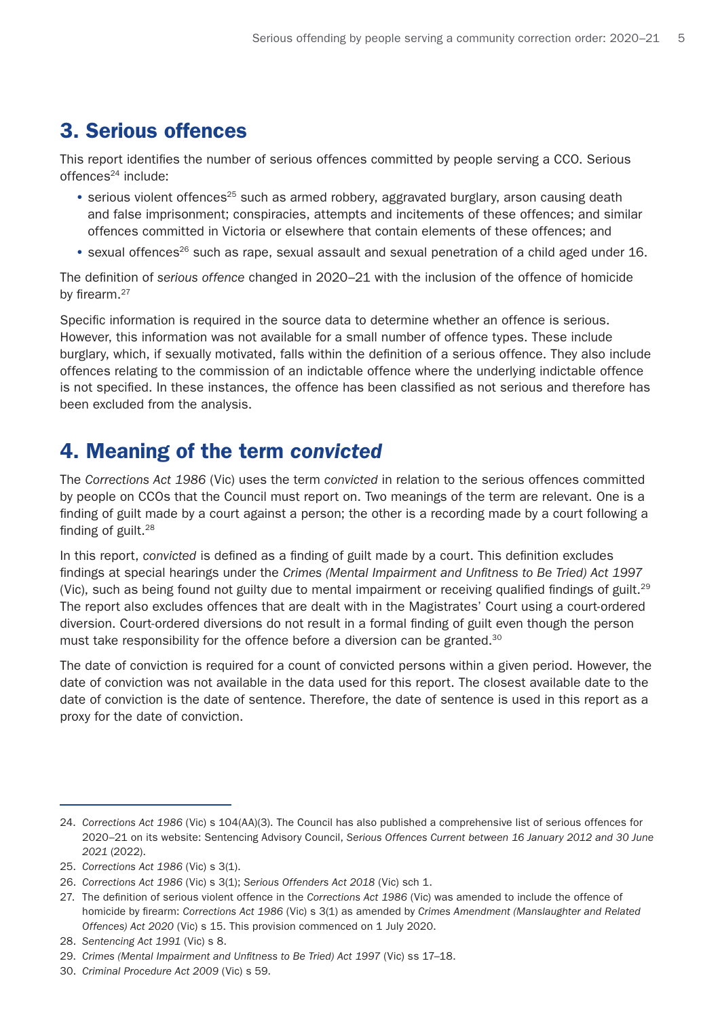# <span id="page-4-0"></span>3. Serious offences

This report identifies the number of serious offences committed by people serving a CCO. Serious  $offences<sup>24</sup>$  include:

- serious violent offences<sup>25</sup> such as armed robbery, aggravated burglary, arson causing death and false imprisonment; conspiracies, attempts and incitements of these offences; and similar offences committed in Victoria or elsewhere that contain elements of these offences; and
- sexual offences<sup>26</sup> such as rape, sexual assault and sexual penetration of a child aged under 16.

The definition of *serious offence* changed in 2020–21 with the inclusion of the offence of homicide by firearm.<sup>27</sup>

Specific information is required in the source data to determine whether an offence is serious. However, this information was not available for a small number of offence types. These include burglary, which, if sexually motivated, falls within the definition of a serious offence. They also include offences relating to the commission of an indictable offence where the underlying indictable offence is not specified. In these instances, the offence has been classified as not serious and therefore has been excluded from the analysis.

### 4. Meaning of the term *convicted*

The *Corrections Act 1986* (Vic) uses the term *convicted* in relation to the serious offences committed by people on CCOs that the Council must report on. Two meanings of the term are relevant. One is a finding of guilt made by a court against a person; the other is a recording made by a court following a finding of guilt.28

In this report, *convicted* is defined as a finding of guilt made by a court. This definition excludes findings at special hearings under the *Crimes (Mental Impairment and Unfitness to Be Tried) Act 1997*  (Vic), such as being found not guilty due to mental impairment or receiving qualified findings of guilt.<sup>29</sup> The report also excludes offences that are dealt with in the Magistrates' Court using a court-ordered diversion. Court-ordered diversions do not result in a formal finding of guilt even though the person must take responsibility for the offence before a diversion can be granted.<sup>30</sup>

The date of conviction is required for a count of convicted persons within a given period. However, the date of conviction was not available in the data used for this report. The closest available date to the date of conviction is the date of sentence. Therefore, the date of sentence is used in this report as a proxy for the date of conviction.

<sup>24.</sup> *Corrections Act 1986* (Vic) s 104(AA)(3). The Council has also published a comprehensive list of serious offences for 2020–21 on its website: Sentencing Advisory Council, *Serious Offences Current between 16 January 2012 and 30 June 2021* (2022).

<sup>25.</sup> *Corrections Act 1986* (Vic) s 3(1).

<sup>26.</sup> *Corrections Act 1986* (Vic) s 3(1); *Serious Offenders Act 2018* (Vic) sch 1.

<sup>27.</sup> The definition of serious violent offence in the *Corrections Act 1986* (Vic) was amended to include the offence of homicide by firearm: *Corrections Act 1986* (Vic) s 3(1) as amended by *Crimes Amendment (Manslaughter and Related Offences) Act 2020* (Vic) s 15. This provision commenced on 1 July 2020.

<sup>28.</sup> *Sentencing Act 1991* (Vic) s 8.

<sup>29.</sup> *Crimes (Mental Impairment and Unfitness to Be Tried) Act 1997* (Vic) ss 17–18.

<sup>30.</sup> *Criminal Procedure Act 2009* (Vic) s 59.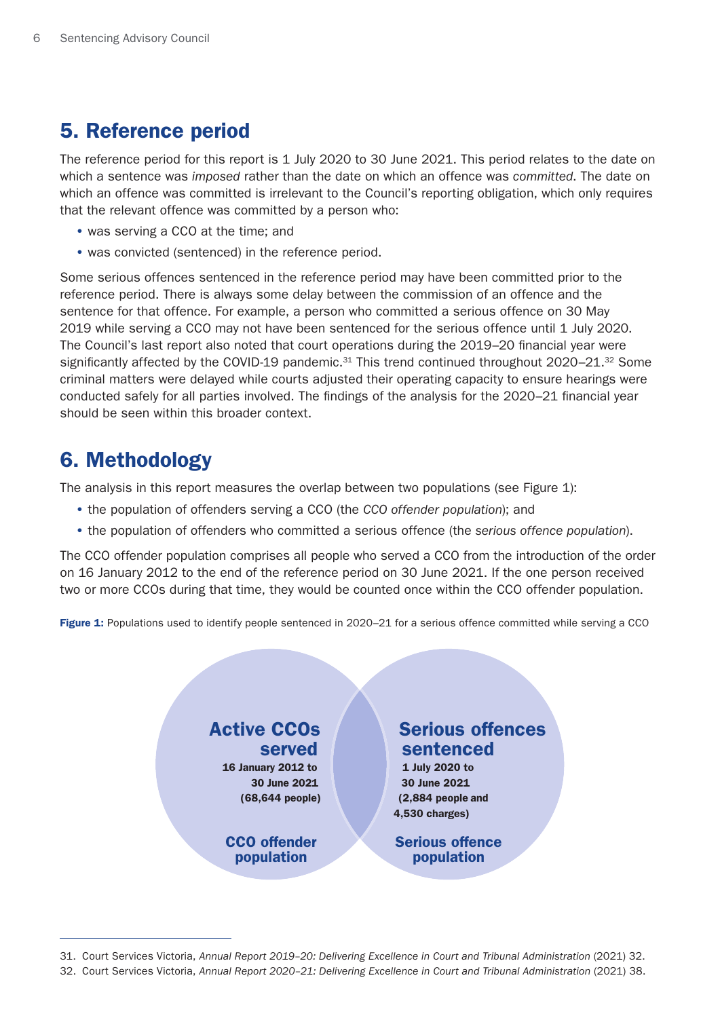## <span id="page-5-0"></span>5. Reference period

The reference period for this report is 1 July 2020 to 30 June 2021. This period relates to the date on which a sentence was *imposed* rather than the date on which an offence was *committed*. The date on which an offence was committed is irrelevant to the Council's reporting obligation, which only requires that the relevant offence was committed by a person who:

- was serving a CCO at the time; and
- was convicted (sentenced) in the reference period.

Some serious offences sentenced in the reference period may have been committed prior to the reference period. There is always some delay between the commission of an offence and the sentence for that offence. For example, a person who committed a serious offence on 30 May 2019 while serving a CCO may not have been sentenced for the serious offence until 1 July 2020. The Council's last report also noted that court operations during the 2019–20 financial year were significantly affected by the COVID-19 pandemic.<sup>31</sup> This trend continued throughout  $2020-21$ .<sup>32</sup> Some criminal matters were delayed while courts adjusted their operating capacity to ensure hearings were conducted safely for all parties involved. The findings of the analysis for the 2020–21 financial year should be seen within this broader context.

### 6. Methodology

The analysis in this report measures the overlap between two populations (see Figure 1):

- the population of offenders serving a CCO (the *CCO offender population*); and
- the population of offenders who committed a serious offence (the *serious offence population*).

The CCO offender population comprises all people who served a CCO from the introduction of the order on 16 January 2012 to the end of the reference period on 30 June 2021. If the one person received two or more CCOs during that time, they would be counted once within the CCO offender population.

Figure 1: Populations used to identify people sentenced in 2020–21 for a serious offence committed while serving a CCO

### Active CCOs served

16 January 2012 to 30 June 2021 (68,644 people)

CCO offender population

### Serious offences sentenced

1 July 2020 to 30 June 2021 (2,884 people and 4,530 charges)

Serious offence population

<sup>31.</sup> Court Services Victoria, Annual Report 2019-20: Delivering Excellence in Court and Tribunal Administration (2021) 32.

<sup>32.</sup> Court Services Victoria, Annual Report 2020-21: Delivering Excellence in Court and Tribunal Administration (2021) 38.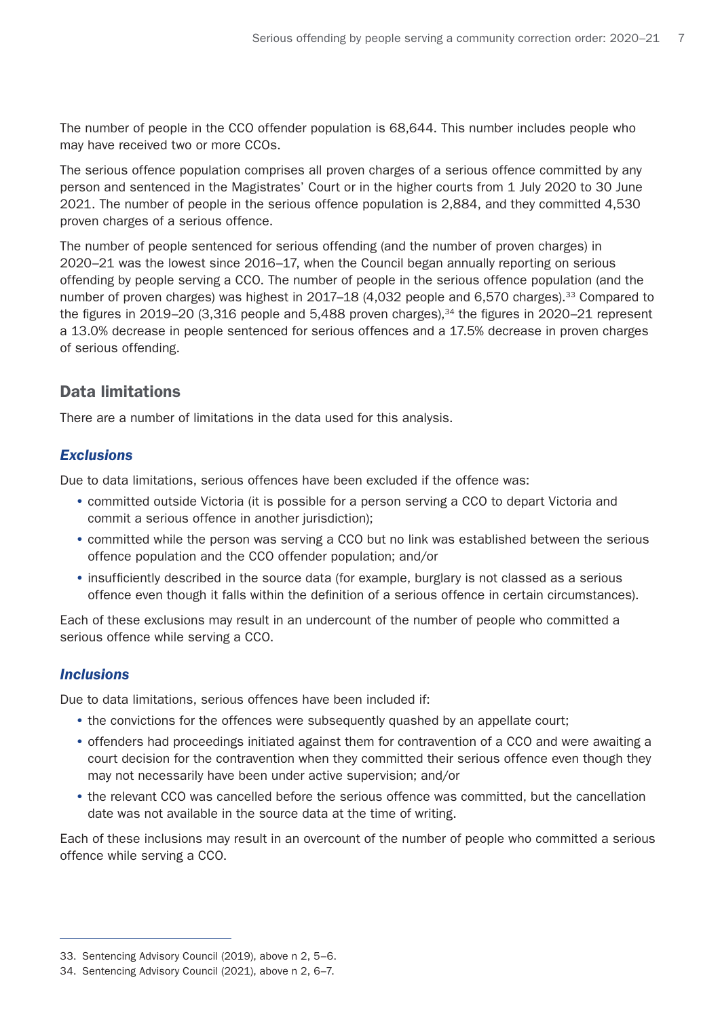The number of people in the CCO offender population is 68,644. This number includes people who may have received two or more CCOs.

The serious offence population comprises all proven charges of a serious offence committed by any person and sentenced in the Magistrates' Court or in the higher courts from 1 July 2020 to 30 June 2021. The number of people in the serious offence population is 2,884, and they committed 4,530 proven charges of a serious offence.

The number of people sentenced for serious offending (and the number of proven charges) in 2020–21 was the lowest since 2016–17, when the Council began annually reporting on serious offending by people serving a CCO. The number of people in the serious offence population (and the number of proven charges) was highest in 2017–18 (4,032 people and 6,570 charges).<sup>33</sup> Compared to the figures in 2019–20 (3,316 people and 5,488 proven charges), $34$  the figures in 2020–21 represent a 13.0% decrease in people sentenced for serious offences and a 17.5% decrease in proven charges of serious offending.

### Data limitations

There are a number of limitations in the data used for this analysis.

#### *Exclusions*

Due to data limitations, serious offences have been excluded if the offence was:

- committed outside Victoria (it is possible for a person serving a CCO to depart Victoria and commit a serious offence in another jurisdiction);
- committed while the person was serving a CCO but no link was established between the serious offence population and the CCO offender population; and/or
- insufficiently described in the source data (for example, burglary is not classed as a serious offence even though it falls within the definition of a serious offence in certain circumstances).

Each of these exclusions may result in an undercount of the number of people who committed a serious offence while serving a CCO.

#### *Inclusions*

Due to data limitations, serious offences have been included if:

- the convictions for the offences were subsequently quashed by an appellate court;
- offenders had proceedings initiated against them for contravention of a CCO and were awaiting a court decision for the contravention when they committed their serious offence even though they may not necessarily have been under active supervision; and/or
- the relevant CCO was cancelled before the serious offence was committed, but the cancellation date was not available in the source data at the time of writing.

Each of these inclusions may result in an overcount of the number of people who committed a serious offence while serving a CCO.

<sup>33.</sup> Sentencing Advisory Council (2019), above n 2, 5–6.

<sup>34.</sup> Sentencing Advisory Council (2021), above n 2, 6–7.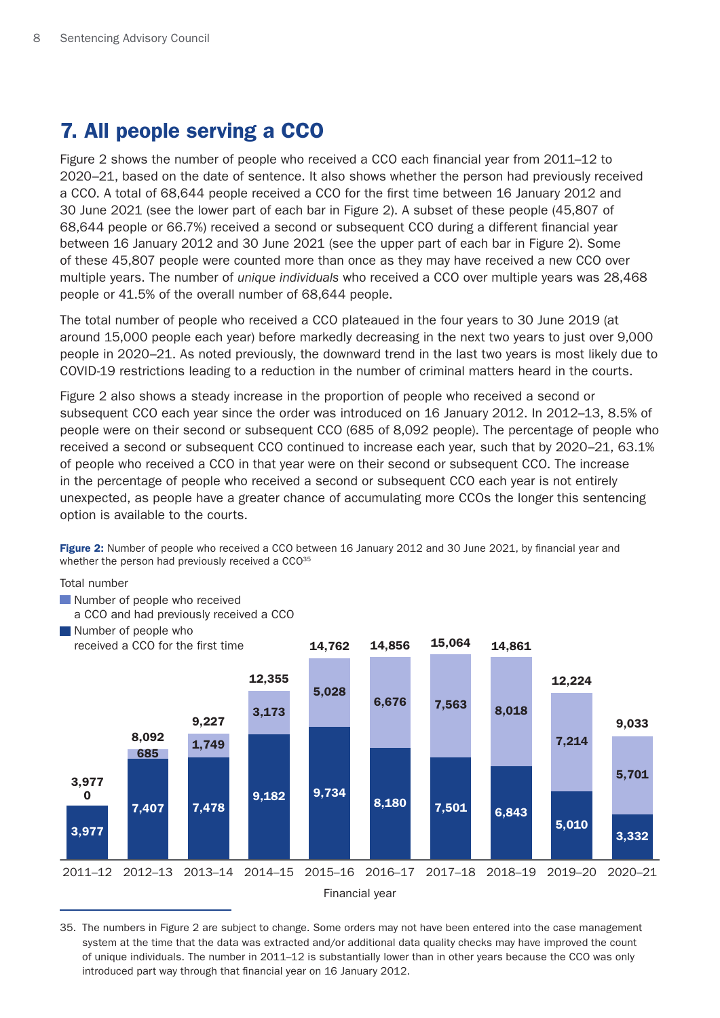# <span id="page-7-0"></span>7. All people serving a CCO

Figure 2 shows the number of people who received a CCO each financial year from 2011–12 to 2020–21, based on the date of sentence. It also shows whether the person had previously received a CCO. A total of 68,644 people received a CCO for the first time between 16 January 2012 and 30 June 2021 (see the lower part of each bar in Figure 2). A subset of these people (45,807 of 68,644 people or 66.7%) received a second or subsequent CCO during a different financial year between 16 January 2012 and 30 June 2021 (see the upper part of each bar in Figure 2). Some of these 45,807 people were counted more than once as they may have received a new CCO over multiple years. The number of *unique individuals* who received a CCO over multiple years was 28,468 people or 41.5% of the overall number of 68,644 people.

The total number of people who received a CCO plateaued in the four years to 30 June 2019 (at around 15,000 people each year) before markedly decreasing in the next two years to just over 9,000 people in 2020–21. As noted previously, the downward trend in the last two years is most likely due to COVID-19 restrictions leading to a reduction in the number of criminal matters heard in the courts.

Figure 2 also shows a steady increase in the proportion of people who received a second or subsequent CCO each year since the order was introduced on 16 January 2012. In 2012–13, 8.5% of people were on their second or subsequent CCO (685 of 8,092 people). The percentage of people who received a second or subsequent CCO continued to increase each year, such that by 2020–21, 63.1% of people who received a CCO in that year were on their second or subsequent CCO. The increase in the percentage of people who received a second or subsequent CCO each year is not entirely unexpected, as people have a greater chance of accumulating more CCOs the longer this sentencing option is available to the courts.

Figure 2: Number of people who received a CCO between 16 January 2012 and 30 June 2021, by financial year and whether the person had previously received a CCO<sup>35</sup>

Total number

- Number of people who received
- a CCO and had previously received a CCO



35. The numbers in Figure 2 are subject to change. Some orders may not have been entered into the case management system at the time that the data was extracted and/or additional data quality checks may have improved the count of unique individuals. The number in 2011–12 is substantially lower than in other years because the CCO was only introduced part way through that financial year on 16 January 2012.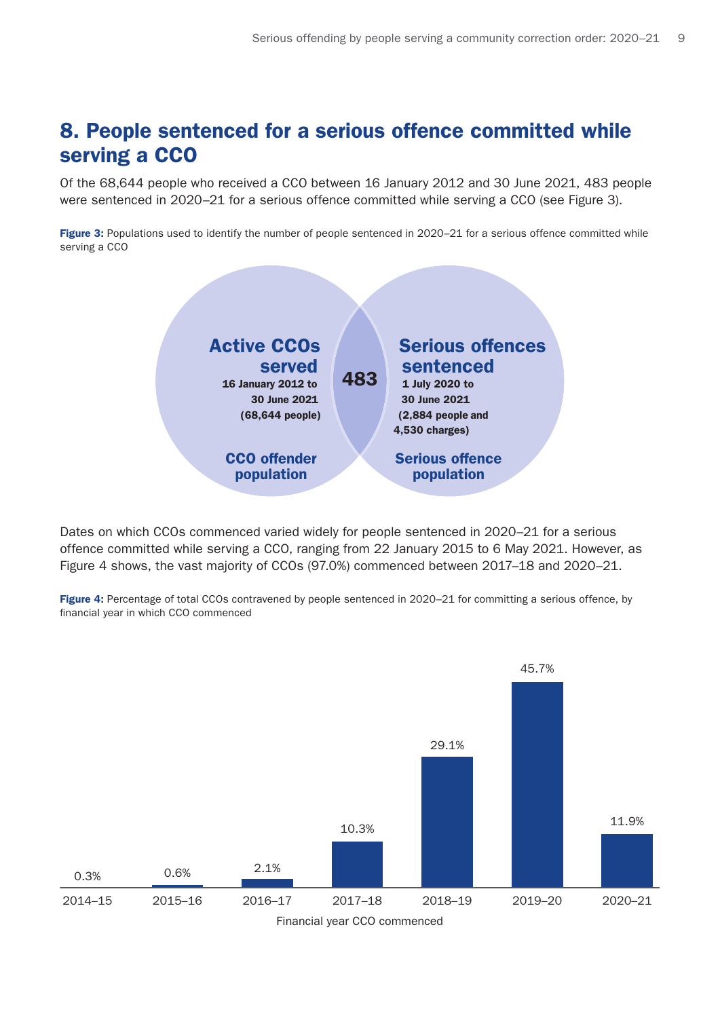## <span id="page-8-0"></span>8. People sentenced for a serious offence committed while serving a CCO

Of the 68,644 people who received a CCO between 16 January 2012 and 30 June 2021, 483 people were sentenced in 2020–21 for a serious offence committed while serving a CCO (see Figure 3).

Figure 3: Populations used to identify the number of people sentenced in 2020–21 for a serious offence committed while serving a CCO



Dates on which CCOs commenced varied widely for people sentenced in 2020–21 for a serious offence committed while serving a CCO, ranging from 22 January 2015 to 6 May 2021. However, as Figure 4 shows, the vast majority of CCOs (97.0%) commenced between 2017–18 and 2020–21.

Figure 4: Percentage of total CCOs contravened by people sentenced in 2020-21 for committing a serious offence, by financial year in which CCO commenced

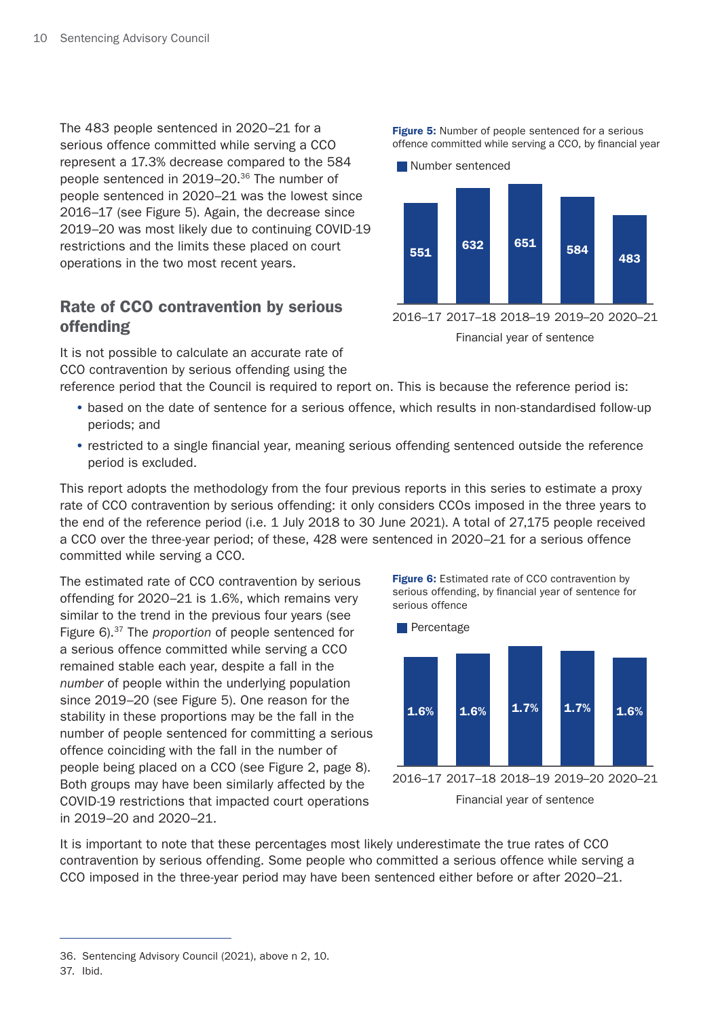The 483 people sentenced in 2020–21 for a serious offence committed while serving a CCO represent a 17.3% decrease compared to the 584 people sentenced in 2019–20.36 The number of people sentenced in 2020–21 was the lowest since 2016–17 (see Figure 5). Again, the decrease since 2019–20 was most likely due to continuing COVID-19 restrictions and the limits these placed on court operations in the two most recent years.

### Rate of CCO contravention by serious offending

It is not possible to calculate an accurate rate of CCO contravention by serious offending using the

reference period that the Council is required to report on. This is because the reference period is:

- based on the date of sentence for a serious offence, which results in non-standardised follow-up periods; and
- restricted to a single financial year, meaning serious offending sentenced outside the reference period is excluded.

This report adopts the methodology from the four previous reports in this series to estimate a proxy rate of CCO contravention by serious offending: it only considers CCOs imposed in the three years to the end of the reference period (i.e. 1 July 2018 to 30 June 2021). A total of 27,175 people received a CCO over the three-year period; of these, 428 were sentenced in 2020–21 for a serious offence committed while serving a CCO.

The estimated rate of CCO contravention by serious offending for 2020–21 is 1.6%, which remains very similar to the trend in the previous four years (see Figure 6).37 The *proportion* of people sentenced for a serious offence committed while serving a CCO remained stable each year, despite a fall in the *number* of people within the underlying population since 2019–20 (see Figure 5). One reason for the stability in these proportions may be the fall in the number of people sentenced for committing a serious offence coinciding with the fall in the number of people being placed on a CCO (see Figure 2, page 8). Both groups may have been similarly affected by the COVID-19 restrictions that impacted court operations in 2019–20 and 2020–21.

Figure 6: Estimated rate of CCO contravention by serious offending, by financial year of sentence for serious offence





It is important to note that these percentages most likely underestimate the true rates of CCO contravention by serious offending. Some people who committed a serious offence while serving a CCO imposed in the three-year period may have been sentenced either before or after 2020–21.

Figure 5: Number of people sentenced for a serious offence committed while serving a CCO, by financial year



<sup>36.</sup> Sentencing Advisory Council (2021), above n 2, 10.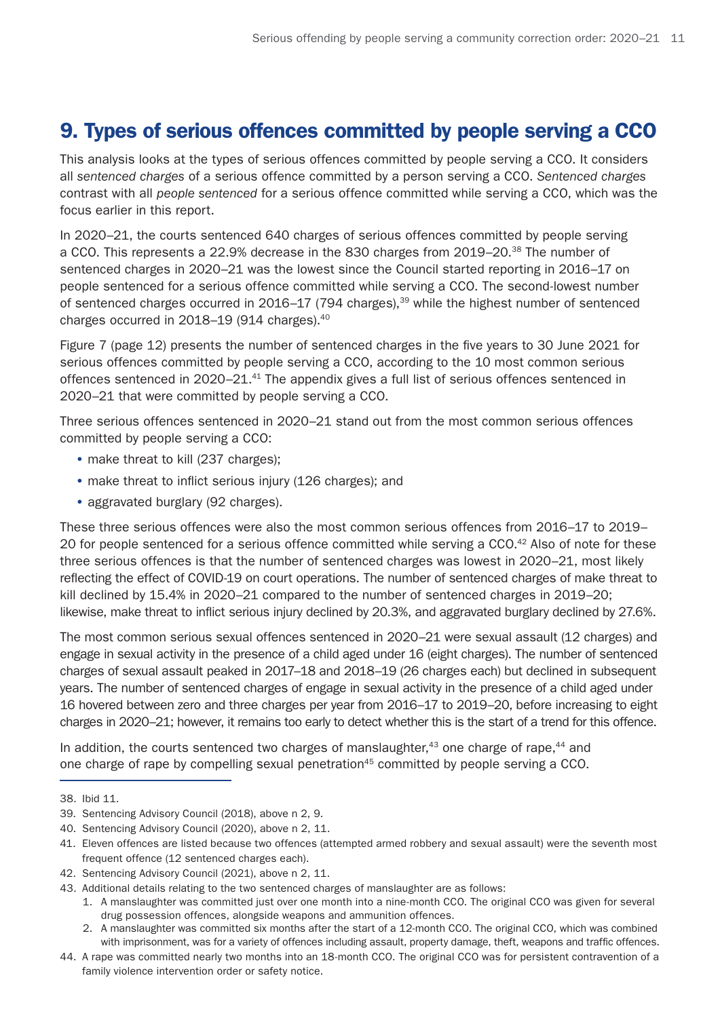# <span id="page-10-0"></span>9. Types of serious offences committed by people serving a CCO

This analysis looks at the types of serious offences committed by people serving a CCO. It considers all *sentenced charges* of a serious offence committed by a person serving a CCO. *Sentenced charges* contrast with all *people sentenced* for a serious offence committed while serving a CCO, which was the focus earlier in this report.

In 2020–21, the courts sentenced 640 charges of serious offences committed by people serving a CCO. This represents a 22.9% decrease in the 830 charges from 2019–20.<sup>38</sup> The number of sentenced charges in 2020–21 was the lowest since the Council started reporting in 2016–17 on people sentenced for a serious offence committed while serving a CCO. The second-lowest number of sentenced charges occurred in 2016–17 (794 charges),<sup>39</sup> while the highest number of sentenced charges occurred in 2018–19 (914 charges).<sup>40</sup>

Figure 7 (page 12) presents the number of sentenced charges in the five years to 30 June 2021 for serious offences committed by people serving a CCO, according to the 10 most common serious offences sentenced in 2020–21.<sup>41</sup> The appendix gives a full list of serious offences sentenced in 2020–21 that were committed by people serving a CCO.

Three serious offences sentenced in 2020–21 stand out from the most common serious offences committed by people serving a CCO:

- make threat to kill (237 charges);
- make threat to inflict serious injury (126 charges); and
- aggravated burglary (92 charges).

These three serious offences were also the most common serious offences from 2016–17 to 2019– 20 for people sentenced for a serious offence committed while serving a CCO.<sup>42</sup> Also of note for these three serious offences is that the number of sentenced charges was lowest in 2020–21, most likely reflecting the effect of COVID-19 on court operations. The number of sentenced charges of make threat to kill declined by 15.4% in 2020–21 compared to the number of sentenced charges in 2019–20; likewise, make threat to inflict serious injury declined by 20.3%, and aggravated burglary declined by 27.6%.

The most common serious sexual offences sentenced in 2020–21 were sexual assault (12 charges) and engage in sexual activity in the presence of a child aged under 16 (eight charges). The number of sentenced charges of sexual assault peaked in 2017–18 and 2018–19 (26 charges each) but declined in subsequent years. The number of sentenced charges of engage in sexual activity in the presence of a child aged under 16 hovered between zero and three charges per year from 2016–17 to 2019–20, before increasing to eight charges in 2020–21; however, it remains too early to detect whether this is the start of a trend for this offence.

In addition, the courts sentenced two charges of manslaughter, $43$  one charge of rape, $44$  and one charge of rape by compelling sexual penetration<sup>45</sup> committed by people serving a CCO.

<sup>38.</sup> Ibid 11.

<sup>39.</sup> Sentencing Advisory Council (2018), above n 2, 9.

<sup>40.</sup> Sentencing Advisory Council (2020), above n 2, 11.

<sup>41.</sup> Eleven offences are listed because two offences (attempted armed robbery and sexual assault) were the seventh most frequent offence (12 sentenced charges each).

<sup>42.</sup> Sentencing Advisory Council (2021), above n 2, 11.

<sup>43.</sup> Additional details relating to the two sentenced charges of manslaughter are as follows:

<sup>1.</sup> A manslaughter was committed just over one month into a nine-month CCO. The original CCO was given for several drug possession offences, alongside weapons and ammunition offences.

<sup>2.</sup> A manslaughter was committed six months after the start of a 12-month CCO. The original CCO, which was combined with imprisonment, was for a variety of offences including assault, property damage, theft, weapons and traffic offences.

<sup>44.</sup> A rape was committed nearly two months into an 18-month CCO. The original CCO was for persistent contravention of a family violence intervention order or safety notice.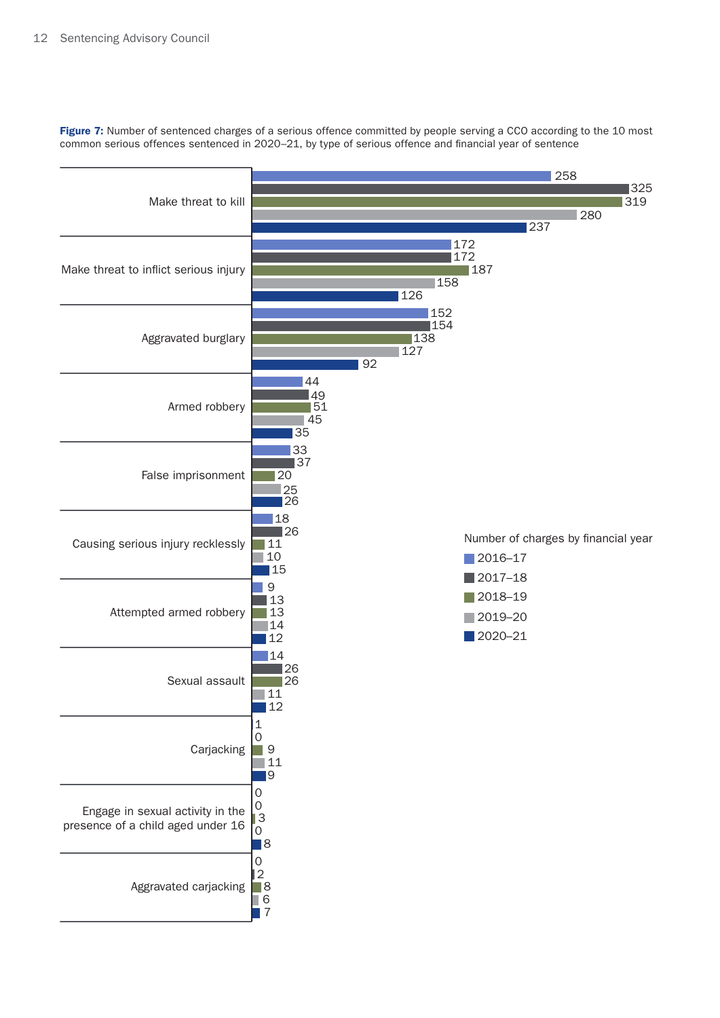Figure 7: Number of sentenced charges of a serious offence committed by people serving a CCO according to the 10 most common serious offences sentenced in 2020–21, by type of serious offence and financial year of sentence

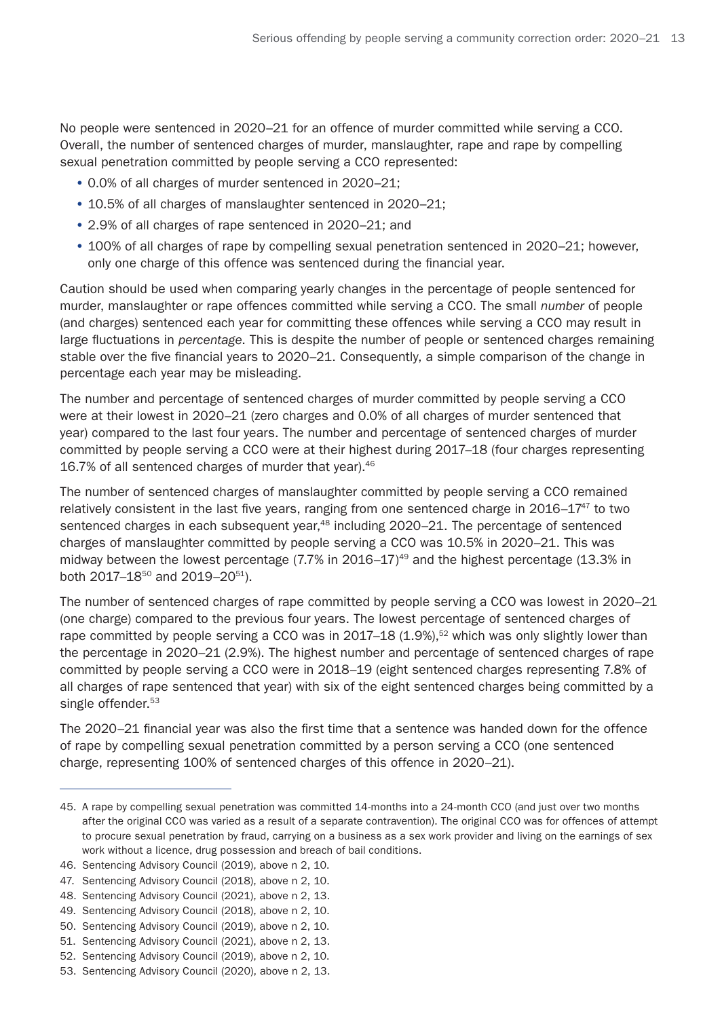No people were sentenced in 2020–21 for an offence of murder committed while serving a CCO. Overall, the number of sentenced charges of murder, manslaughter, rape and rape by compelling sexual penetration committed by people serving a CCO represented:

- 0.0% of all charges of murder sentenced in 2020–21;
- 10.5% of all charges of manslaughter sentenced in 2020–21;
- 2.9% of all charges of rape sentenced in 2020–21; and
- 100% of all charges of rape by compelling sexual penetration sentenced in 2020–21; however, only one charge of this offence was sentenced during the financial year.

Caution should be used when comparing yearly changes in the percentage of people sentenced for murder, manslaughter or rape offences committed while serving a CCO. The small *number* of people (and charges) sentenced each year for committing these offences while serving a CCO may result in large fluctuations in *percentage*. This is despite the number of people or sentenced charges remaining stable over the five financial years to 2020–21. Consequently, a simple comparison of the change in percentage each year may be misleading.

The number and percentage of sentenced charges of murder committed by people serving a CCO were at their lowest in 2020–21 (zero charges and 0.0% of all charges of murder sentenced that year) compared to the last four years. The number and percentage of sentenced charges of murder committed by people serving a CCO were at their highest during 2017–18 (four charges representing 16.7% of all sentenced charges of murder that year).46

The number of sentenced charges of manslaughter committed by people serving a CCO remained relatively consistent in the last five years, ranging from one sentenced charge in  $2016-17^{47}$  to two sentenced charges in each subsequent year,<sup>48</sup> including 2020–21. The percentage of sentenced charges of manslaughter committed by people serving a CCO was 10.5% in 2020–21. This was midway between the lowest percentage  $(7.7\%$  in 2016–17)<sup>49</sup> and the highest percentage  $(13.3\%$  in both 2017–18<sup>50</sup> and 2019–20<sup>51</sup>).

The number of sentenced charges of rape committed by people serving a CCO was lowest in 2020–21 (one charge) compared to the previous four years. The lowest percentage of sentenced charges of rape committed by people serving a CCO was in  $2017-18$  (1.9%),<sup>52</sup> which was only slightly lower than the percentage in 2020–21 (2.9%). The highest number and percentage of sentenced charges of rape committed by people serving a CCO were in 2018–19 (eight sentenced charges representing 7.8% of all charges of rape sentenced that year) with six of the eight sentenced charges being committed by a single offender.<sup>53</sup>

The 2020–21 financial year was also the first time that a sentence was handed down for the offence of rape by compelling sexual penetration committed by a person serving a CCO (one sentenced charge, representing 100% of sentenced charges of this offence in 2020–21).

<sup>45.</sup> A rape by compelling sexual penetration was committed 14-months into a 24-month CCO (and just over two months after the original CCO was varied as a result of a separate contravention). The original CCO was for offences of attempt to procure sexual penetration by fraud, carrying on a business as a sex work provider and living on the earnings of sex work without a licence, drug possession and breach of bail conditions.

<sup>46.</sup> Sentencing Advisory Council (2019), above n 2, 10.

<sup>47.</sup> Sentencing Advisory Council (2018), above n 2, 10.

<sup>48.</sup> Sentencing Advisory Council (2021), above n 2, 13.

<sup>49.</sup> Sentencing Advisory Council (2018), above n 2, 10.

<sup>50.</sup> Sentencing Advisory Council (2019), above n 2, 10.

<sup>51.</sup> Sentencing Advisory Council (2021), above n 2, 13.

<sup>52.</sup> Sentencing Advisory Council (2019), above n 2, 10.

<sup>53.</sup> Sentencing Advisory Council (2020), above n 2, 13.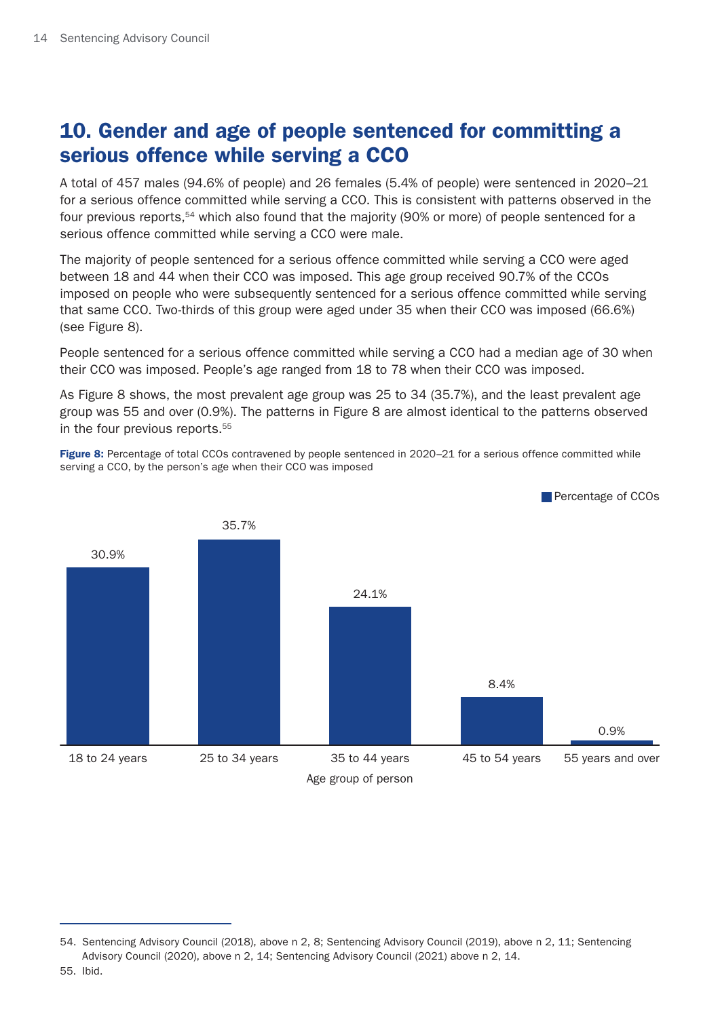# <span id="page-13-0"></span>10. Gender and age of people sentenced for committing a serious offence while serving a CCO

A total of 457 males (94.6% of people) and 26 females (5.4% of people) were sentenced in 2020–21 for a serious offence committed while serving a CCO. This is consistent with patterns observed in the four previous reports,<sup>54</sup> which also found that the majority (90% or more) of people sentenced for a serious offence committed while serving a CCO were male.

The majority of people sentenced for a serious offence committed while serving a CCO were aged between 18 and 44 when their CCO was imposed. This age group received 90.7% of the CCOs imposed on people who were subsequently sentenced for a serious offence committed while serving that same CCO. Two-thirds of this group were aged under 35 when their CCO was imposed (66.6%) (see Figure 8).

People sentenced for a serious offence committed while serving a CCO had a median age of 30 when their CCO was imposed. People's age ranged from 18 to 78 when their CCO was imposed.

As Figure 8 shows, the most prevalent age group was 25 to 34 (35.7%), and the least prevalent age group was 55 and over (0.9%). The patterns in Figure 8 are almost identical to the patterns observed in the four previous reports.<sup>55</sup>

Figure 8: Percentage of total CCOs contravened by people sentenced in 2020-21 for a serious offence committed while serving a CCO, by the person's age when their CCO was imposed



<sup>54.</sup> Sentencing Advisory Council (2018), above n 2, 8; Sentencing Advisory Council (2019), above n 2, 11; Sentencing Advisory Council (2020), above n 2, 14; Sentencing Advisory Council (2021) above n 2, 14.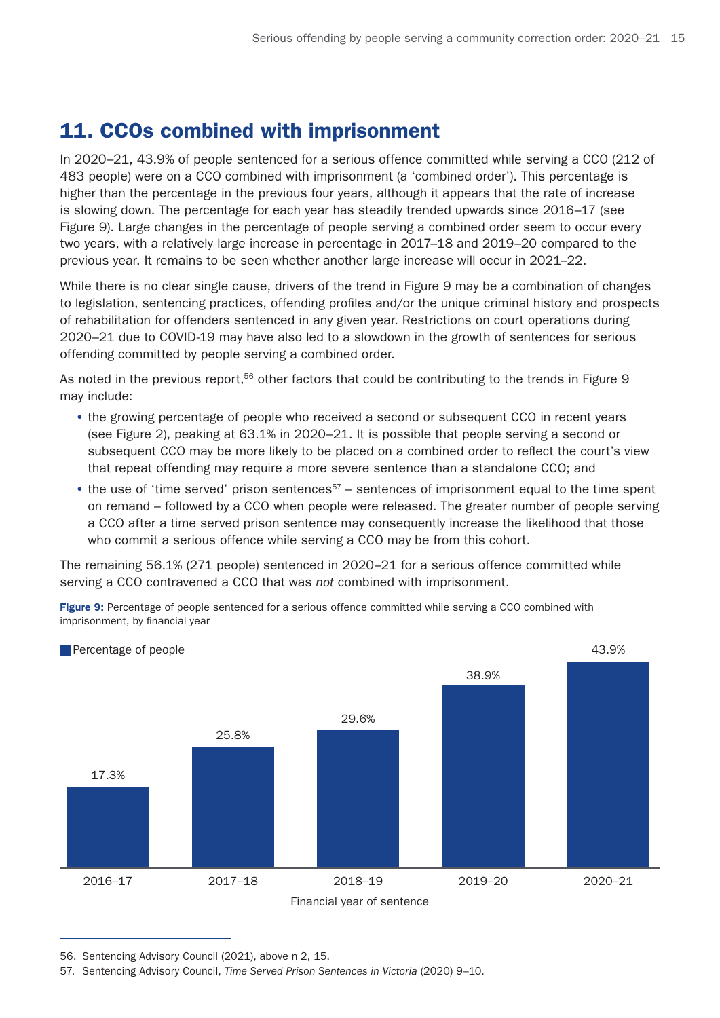# <span id="page-14-0"></span>11. CCOs combined with imprisonment

In 2020–21, 43.9% of people sentenced for a serious offence committed while serving a CCO (212 of 483 people) were on a CCO combined with imprisonment (a 'combined order'). This percentage is higher than the percentage in the previous four years, although it appears that the rate of increase is slowing down. The percentage for each year has steadily trended upwards since 2016–17 (see Figure 9). Large changes in the percentage of people serving a combined order seem to occur every two years, with a relatively large increase in percentage in 2017–18 and 2019–20 compared to the previous year. It remains to be seen whether another large increase will occur in 2021–22.

While there is no clear single cause, drivers of the trend in Figure 9 may be a combination of changes to legislation, sentencing practices, offending profiles and/or the unique criminal history and prospects of rehabilitation for offenders sentenced in any given year. Restrictions on court operations during 2020–21 due to COVID-19 may have also led to a slowdown in the growth of sentences for serious offending committed by people serving a combined order.

As noted in the previous report.<sup>56</sup> other factors that could be contributing to the trends in Figure 9 may include:

- the growing percentage of people who received a second or subsequent CCO in recent years (see Figure 2), peaking at 63.1% in 2020–21. It is possible that people serving a second or subsequent CCO may be more likely to be placed on a combined order to reflect the court's view that repeat offending may require a more severe sentence than a standalone CCO; and
- the use of 'time served' prison sentences<sup>57</sup> sentences of imprisonment equal to the time spent on remand – followed by a CCO when people were released. The greater number of people serving a CCO after a time served prison sentence may consequently increase the likelihood that those who commit a serious offence while serving a CCO may be from this cohort.

The remaining 56.1% (271 people) sentenced in 2020–21 for a serious offence committed while serving a CCO contravened a CCO that was *not* combined with imprisonment.

Figure 9: Percentage of people sentenced for a serious offence committed while serving a CCO combined with imprisonment, by financial year



56. Sentencing Advisory Council (2021), above n 2, 15.

<sup>57.</sup> Sentencing Advisory Council, *Time Served Prison Sentences in Victoria* (2020) 9–10.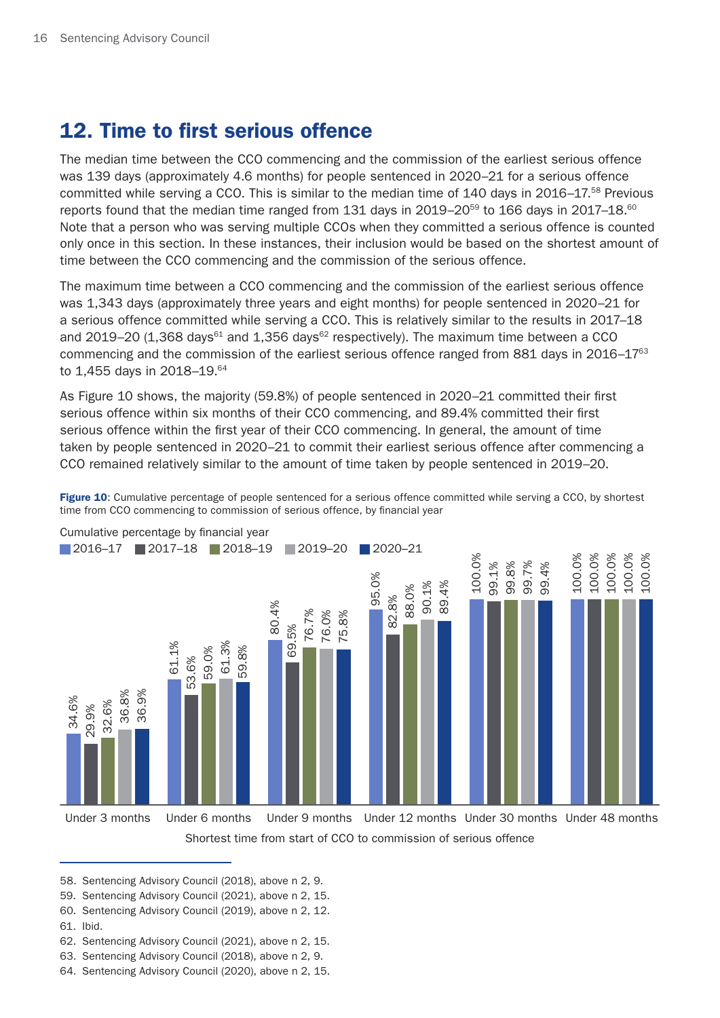# <span id="page-15-0"></span>12. Time to first serious offence

The median time between the CCO commencing and the commission of the earliest serious offence was 139 days (approximately 4.6 months) for people sentenced in 2020–21 for a serious offence committed while serving a CCO. This is similar to the median time of 140 days in 2016–17.<sup>58</sup> Previous reports found that the median time ranged from 131 days in 2019–20<sup>59</sup> to 166 days in 2017–18.<sup>60</sup> Note that a person who was serving multiple CCOs when they committed a serious offence is counted only once in this section. In these instances, their inclusion would be based on the shortest amount of time between the CCO commencing and the commission of the serious offence.

The maximum time between a CCO commencing and the commission of the earliest serious offence was 1,343 days (approximately three years and eight months) for people sentenced in 2020–21 for a serious offence committed while serving a CCO. This is relatively similar to the results in 2017–18 and 2019–20 (1,368 days $61$  and 1,356 days $62$  respectively). The maximum time between a CCO commencing and the commission of the earliest serious offence ranged from 881 days in 2016–17<sup>63</sup> to 1,455 days in 2018–19.64

As Figure 10 shows, the majority (59.8%) of people sentenced in 2020–21 committed their first serious offence within six months of their CCO commencing, and 89.4% committed their first serious offence within the first year of their CCO commencing. In general, the amount of time taken by people sentenced in 2020–21 to commit their earliest serious offence after commencing a CCO remained relatively similar to the amount of time taken by people sentenced in 2019–20.

Figure 10: Cumulative percentage of people sentenced for a serious offence committed while serving a CCO, by shortest time from CCO commencing to commission of serious offence, by financial year



Cumulative percentage by financial year

58. Sentencing Advisory Council (2018), above n 2, 9.

- 59. Sentencing Advisory Council (2021), above n 2, 15.
- 60. Sentencing Advisory Council (2019), above n 2, 12.
- 61. Ibid.
- 62. Sentencing Advisory Council (2021), above n 2, 15.
- 63. Sentencing Advisory Council (2018), above n 2, 9.
- 64. Sentencing Advisory Council (2020), above n 2, 15.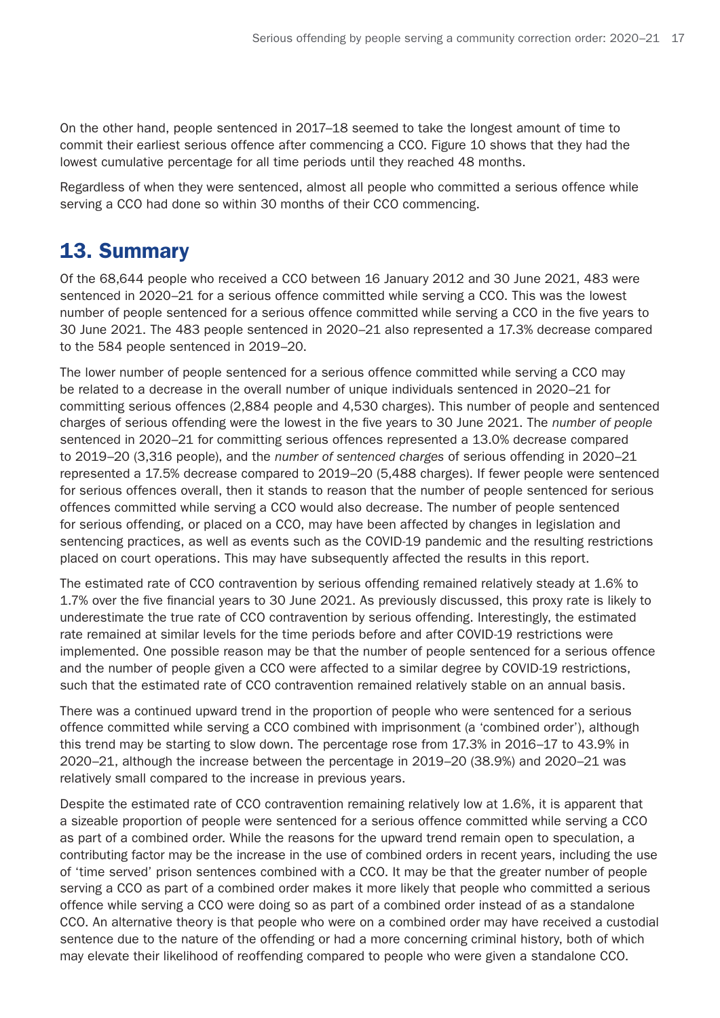<span id="page-16-0"></span>On the other hand, people sentenced in 2017–18 seemed to take the longest amount of time to commit their earliest serious offence after commencing a CCO. Figure 10 shows that they had the lowest cumulative percentage for all time periods until they reached 48 months.

Regardless of when they were sentenced, almost all people who committed a serious offence while serving a CCO had done so within 30 months of their CCO commencing.

### 13. Summary

Of the 68,644 people who received a CCO between 16 January 2012 and 30 June 2021, 483 were sentenced in 2020–21 for a serious offence committed while serving a CCO. This was the lowest number of people sentenced for a serious offence committed while serving a CCO in the five years to 30 June 2021. The 483 people sentenced in 2020–21 also represented a 17.3% decrease compared to the 584 people sentenced in 2019–20.

The lower number of people sentenced for a serious offence committed while serving a CCO may be related to a decrease in the overall number of unique individuals sentenced in 2020–21 for committing serious offences (2,884 people and 4,530 charges). This number of people and sentenced charges of serious offending were the lowest in the five years to 30 June 2021. The *number of people* sentenced in 2020–21 for committing serious offences represented a 13.0% decrease compared to 2019–20 (3,316 people), and the *number of sentenced charges* of serious offending in 2020–21 represented a 17.5% decrease compared to 2019–20 (5,488 charges). If fewer people were sentenced for serious offences overall, then it stands to reason that the number of people sentenced for serious offences committed while serving a CCO would also decrease. The number of people sentenced for serious offending, or placed on a CCO, may have been affected by changes in legislation and sentencing practices, as well as events such as the COVID-19 pandemic and the resulting restrictions placed on court operations. This may have subsequently affected the results in this report.

The estimated rate of CCO contravention by serious offending remained relatively steady at 1.6% to 1.7% over the five financial years to 30 June 2021. As previously discussed, this proxy rate is likely to underestimate the true rate of CCO contravention by serious offending. Interestingly, the estimated rate remained at similar levels for the time periods before and after COVID-19 restrictions were implemented. One possible reason may be that the number of people sentenced for a serious offence and the number of people given a CCO were affected to a similar degree by COVID-19 restrictions, such that the estimated rate of CCO contravention remained relatively stable on an annual basis.

There was a continued upward trend in the proportion of people who were sentenced for a serious offence committed while serving a CCO combined with imprisonment (a 'combined order'), although this trend may be starting to slow down. The percentage rose from 17.3% in 2016–17 to 43.9% in 2020–21, although the increase between the percentage in 2019–20 (38.9%) and 2020–21 was relatively small compared to the increase in previous years.

Despite the estimated rate of CCO contravention remaining relatively low at 1.6%, it is apparent that a sizeable proportion of people were sentenced for a serious offence committed while serving a CCO as part of a combined order. While the reasons for the upward trend remain open to speculation, a contributing factor may be the increase in the use of combined orders in recent years, including the use of 'time served' prison sentences combined with a CCO. It may be that the greater number of people serving a CCO as part of a combined order makes it more likely that people who committed a serious offence while serving a CCO were doing so as part of a combined order instead of as a standalone CCO. An alternative theory is that people who were on a combined order may have received a custodial sentence due to the nature of the offending or had a more concerning criminal history, both of which may elevate their likelihood of reoffending compared to people who were given a standalone CCO.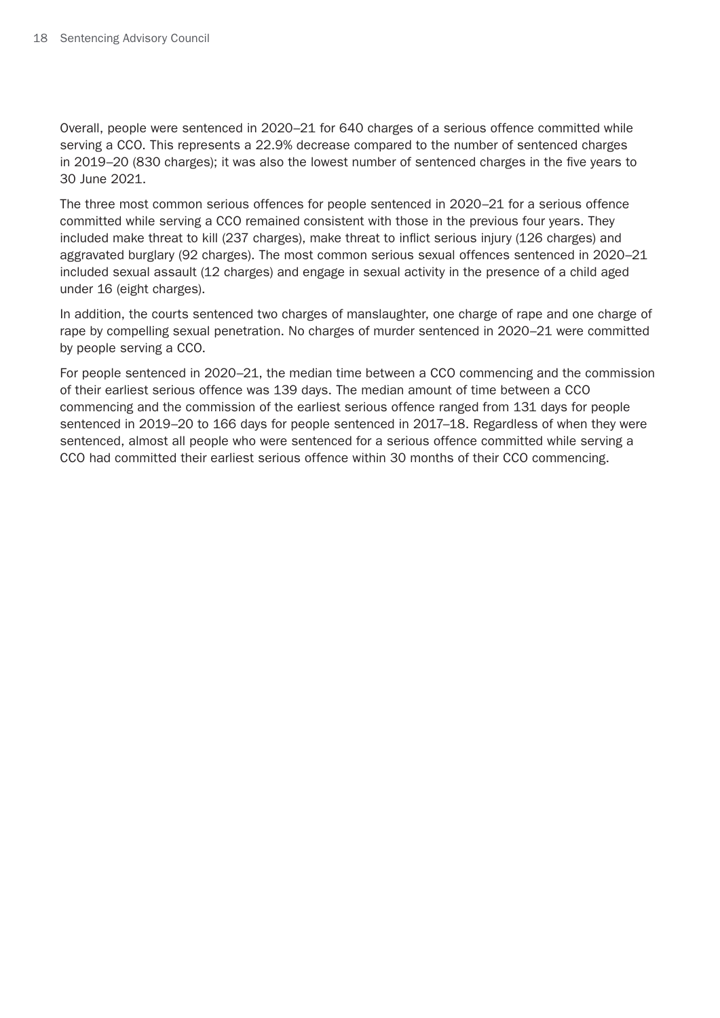Overall, people were sentenced in 2020–21 for 640 charges of a serious offence committed while serving a CCO. This represents a 22.9% decrease compared to the number of sentenced charges in 2019–20 (830 charges); it was also the lowest number of sentenced charges in the five years to 30 June 2021.

The three most common serious offences for people sentenced in 2020–21 for a serious offence committed while serving a CCO remained consistent with those in the previous four years. They included make threat to kill (237 charges), make threat to inflict serious injury (126 charges) and aggravated burglary (92 charges). The most common serious sexual offences sentenced in 2020–21 included sexual assault (12 charges) and engage in sexual activity in the presence of a child aged under 16 (eight charges).

In addition, the courts sentenced two charges of manslaughter, one charge of rape and one charge of rape by compelling sexual penetration. No charges of murder sentenced in 2020–21 were committed by people serving a CCO.

For people sentenced in 2020–21, the median time between a CCO commencing and the commission of their earliest serious offence was 139 days. The median amount of time between a CCO commencing and the commission of the earliest serious offence ranged from 131 days for people sentenced in 2019–20 to 166 days for people sentenced in 2017–18. Regardless of when they were sentenced, almost all people who were sentenced for a serious offence committed while serving a CCO had committed their earliest serious offence within 30 months of their CCO commencing.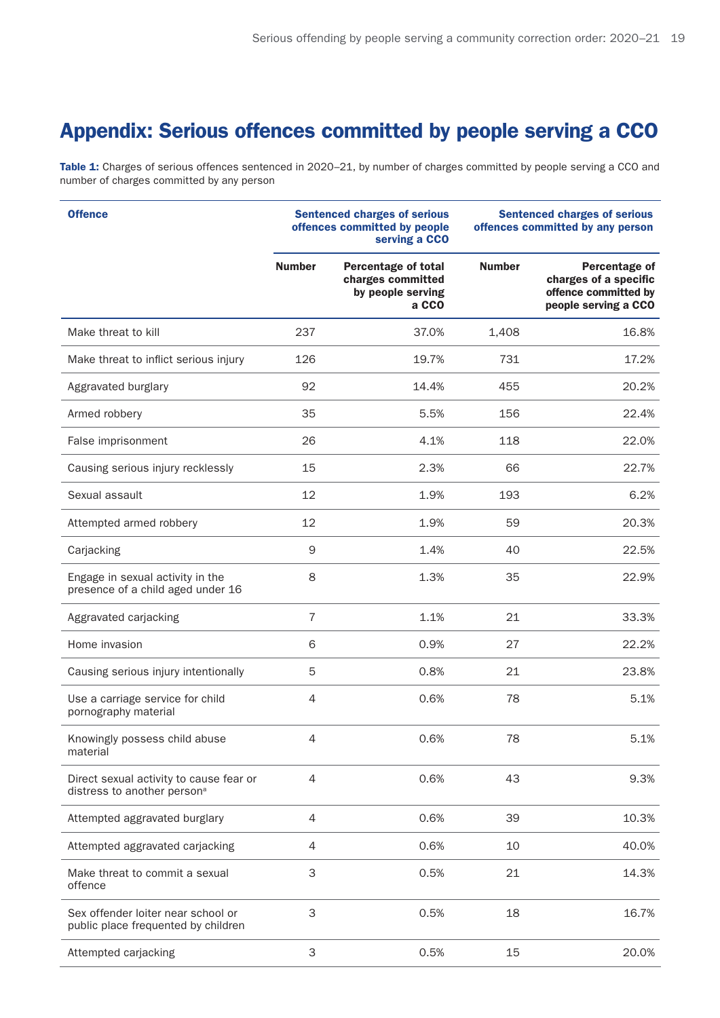# <span id="page-18-0"></span>Appendix: Serious offences committed by people serving a CCO

Table 1: Charges of serious offences sentenced in 2020-21, by number of charges committed by people serving a CCO and number of charges committed by any person

| <b>Offence</b>                                                                     | <b>Sentenced charges of serious</b><br>offences committed by people<br>serving a CCO |                                                                               | <b>Sentenced charges of serious</b><br>offences committed by any person |                                                                                        |
|------------------------------------------------------------------------------------|--------------------------------------------------------------------------------------|-------------------------------------------------------------------------------|-------------------------------------------------------------------------|----------------------------------------------------------------------------------------|
|                                                                                    | <b>Number</b>                                                                        | <b>Percentage of total</b><br>charges committed<br>by people serving<br>a CCO | <b>Number</b>                                                           | Percentage of<br>charges of a specific<br>offence committed by<br>people serving a CCO |
| Make threat to kill                                                                | 237                                                                                  | 37.0%                                                                         | 1,408                                                                   | 16.8%                                                                                  |
| Make threat to inflict serious injury                                              | 126                                                                                  | 19.7%                                                                         | 731                                                                     | 17.2%                                                                                  |
| Aggravated burglary                                                                | 92                                                                                   | 14.4%                                                                         | 455                                                                     | 20.2%                                                                                  |
| Armed robbery                                                                      | 35                                                                                   | 5.5%                                                                          | 156                                                                     | 22.4%                                                                                  |
| False imprisonment                                                                 | 26                                                                                   | 4.1%                                                                          | 118                                                                     | 22.0%                                                                                  |
| Causing serious injury recklessly                                                  | 15                                                                                   | 2.3%                                                                          | 66                                                                      | 22.7%                                                                                  |
| Sexual assault                                                                     | 12                                                                                   | 1.9%                                                                          | 193                                                                     | 6.2%                                                                                   |
| Attempted armed robbery                                                            | 12                                                                                   | 1.9%                                                                          | 59                                                                      | 20.3%                                                                                  |
| Carjacking                                                                         | $\mathsf 9$                                                                          | 1.4%                                                                          | 40                                                                      | 22.5%                                                                                  |
| Engage in sexual activity in the<br>presence of a child aged under 16              | 8                                                                                    | 1.3%                                                                          | 35                                                                      | 22.9%                                                                                  |
| Aggravated carjacking                                                              | $\overline{7}$                                                                       | 1.1%                                                                          | 21                                                                      | 33.3%                                                                                  |
| Home invasion                                                                      | 6                                                                                    | 0.9%                                                                          | 27                                                                      | 22.2%                                                                                  |
| Causing serious injury intentionally                                               | 5                                                                                    | 0.8%                                                                          | 21                                                                      | 23.8%                                                                                  |
| Use a carriage service for child<br>pornography material                           | 4                                                                                    | 0.6%                                                                          | 78                                                                      | 5.1%                                                                                   |
| Knowingly possess child abuse<br>material                                          | 4                                                                                    | 0.6%                                                                          | 78                                                                      | 5.1%                                                                                   |
| Direct sexual activity to cause fear or<br>distress to another person <sup>a</sup> | 4                                                                                    | 0.6%                                                                          | 43                                                                      | 9.3%                                                                                   |
| Attempted aggravated burglary                                                      | 4                                                                                    | 0.6%                                                                          | 39                                                                      | 10.3%                                                                                  |
| Attempted aggravated carjacking                                                    | 4                                                                                    | 0.6%                                                                          | 10                                                                      | 40.0%                                                                                  |
| Make threat to commit a sexual<br>offence                                          | 3                                                                                    | 0.5%                                                                          | 21                                                                      | 14.3%                                                                                  |
| Sex offender loiter near school or<br>public place frequented by children          | 3                                                                                    | 0.5%                                                                          | 18                                                                      | 16.7%                                                                                  |
| Attempted carjacking                                                               | 3                                                                                    | 0.5%                                                                          | 15                                                                      | 20.0%                                                                                  |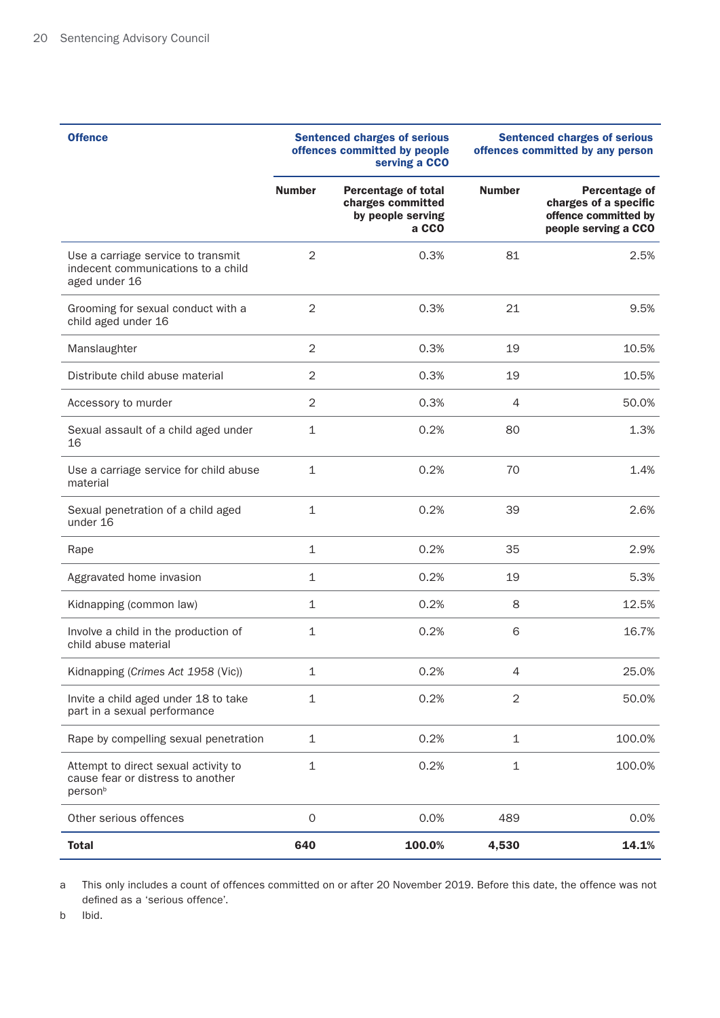| <b>Offence</b>                                                                                   | <b>Sentenced charges of serious</b><br>offences committed by people<br>serving a CCO |                                                                               | <b>Sentenced charges of serious</b><br>offences committed by any person |                                                                                        |
|--------------------------------------------------------------------------------------------------|--------------------------------------------------------------------------------------|-------------------------------------------------------------------------------|-------------------------------------------------------------------------|----------------------------------------------------------------------------------------|
|                                                                                                  | <b>Number</b>                                                                        | <b>Percentage of total</b><br>charges committed<br>by people serving<br>a CCO | <b>Number</b>                                                           | Percentage of<br>charges of a specific<br>offence committed by<br>people serving a CCO |
| Use a carriage service to transmit<br>indecent communications to a child<br>aged under 16        | $\overline{2}$                                                                       | 0.3%                                                                          | 81                                                                      | 2.5%                                                                                   |
| Grooming for sexual conduct with a<br>child aged under 16                                        | $\overline{2}$                                                                       | 0.3%                                                                          | 21                                                                      | 9.5%                                                                                   |
| Manslaughter                                                                                     | 2                                                                                    | 0.3%                                                                          | 19                                                                      | 10.5%                                                                                  |
| Distribute child abuse material                                                                  | 2                                                                                    | 0.3%                                                                          | 19                                                                      | 10.5%                                                                                  |
| Accessory to murder                                                                              | 2                                                                                    | 0.3%                                                                          | 4                                                                       | 50.0%                                                                                  |
| Sexual assault of a child aged under<br>16                                                       | 1                                                                                    | 0.2%                                                                          | 80                                                                      | 1.3%                                                                                   |
| Use a carriage service for child abuse<br>material                                               | $\mathbf{1}$                                                                         | 0.2%                                                                          | 70                                                                      | 1.4%                                                                                   |
| Sexual penetration of a child aged<br>under 16                                                   | $\mathbf{1}$                                                                         | 0.2%                                                                          | 39                                                                      | 2.6%                                                                                   |
| Rape                                                                                             | 1                                                                                    | 0.2%                                                                          | 35                                                                      | 2.9%                                                                                   |
| Aggravated home invasion                                                                         | $\mathbf{1}$                                                                         | 0.2%                                                                          | 19                                                                      | 5.3%                                                                                   |
| Kidnapping (common law)                                                                          | 1                                                                                    | 0.2%                                                                          | 8                                                                       | 12.5%                                                                                  |
| Involve a child in the production of<br>child abuse material                                     | 1                                                                                    | 0.2%                                                                          | 6                                                                       | 16.7%                                                                                  |
| Kidnapping (Crimes Act 1958 (Vic))                                                               | 1                                                                                    | 0.2%                                                                          | 4                                                                       | 25.0%                                                                                  |
| Invite a child aged under 18 to take<br>part in a sexual performance                             | 1                                                                                    | 0.2%                                                                          | $\overline{2}$                                                          | 50.0%                                                                                  |
| Rape by compelling sexual penetration                                                            | $\mathbf 1$                                                                          | 0.2%                                                                          | $\mathbf 1$                                                             | 100.0%                                                                                 |
| Attempt to direct sexual activity to<br>cause fear or distress to another<br>person <sup>b</sup> | $\mathbf 1$                                                                          | 0.2%                                                                          | $\mathbf{1}$                                                            | 100.0%                                                                                 |
| Other serious offences                                                                           | 0                                                                                    | 0.0%                                                                          | 489                                                                     | 0.0%                                                                                   |
| <b>Total</b>                                                                                     | 640                                                                                  | 100.0%                                                                        | 4,530                                                                   | 14.1%                                                                                  |

a This only includes a count of offences committed on or after 20 November 2019. Before this date, the offence was not defined as a 'serious offence'.

b Ibid.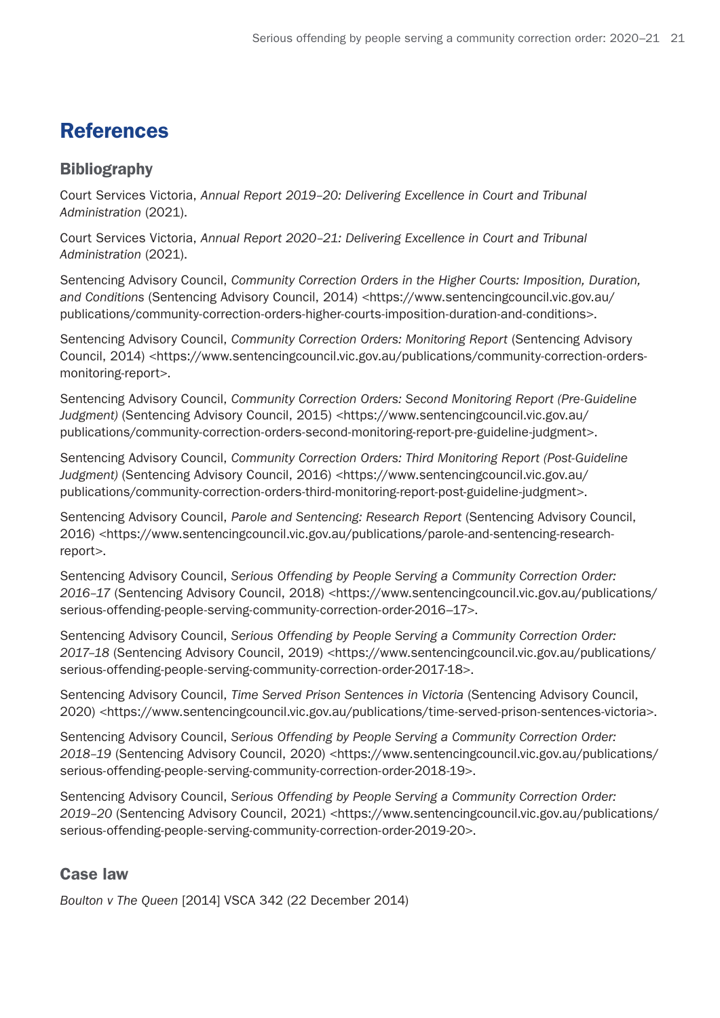# <span id="page-20-0"></span>References

### Bibliography

Court Services Victoria, *Annual Report 2019–20: Delivering Excellence in Court and Tribunal Administration* (2021).

Court Services Victoria, *Annual Report 2020–21: Delivering Excellence in Court and Tribunal Administration* (2021).

Sentencing Advisory Council, *Community Correction Orders in the Higher Courts: Imposition, Duration, and Conditions* (Sentencing Advisory Council, 2014) <https://www.sentencingcouncil.vic.gov.au/ publications/community-correction-orders-higher-courts-imposition-duration-and-conditions>.

Sentencing Advisory Council, *Community Correction Orders: Monitoring Report* (Sentencing Advisory Council, 2014) <https://www.sentencingcouncil.vic.gov.au/publications/community-correction-ordersmonitoring-report>.

Sentencing Advisory Council, *Community Correction Orders: Second Monitoring Report (Pre-Guideline Judgment)* (Sentencing Advisory Council, 2015) <https://www.sentencingcouncil.vic.gov.au/ publications/community-correction-orders-second-monitoring-report-pre-guideline-judgment>.

Sentencing Advisory Council, *Community Correction Orders: Third Monitoring Report (Post-Guideline*  Judgment) (Sentencing Advisory Council, 2016) <https://www.sentencingcouncil.vic.gov.au/ publications/community-correction-orders-third-monitoring-report-post-guideline-judgment>.

Sentencing Advisory Council, *Parole and Sentencing: Research Report* (Sentencing Advisory Council, 2016) <https://www.sentencingcouncil.vic.gov.au/publications/parole-and-sentencing-researchreport>.

Sentencing Advisory Council, *Serious Offending by People Serving a Community Correction Order: 2016–17* (Sentencing Advisory Council, 2018) <https://www.sentencingcouncil.vic.gov.au/publications/ serious-offending-people-serving-community-correction-order-2016–17>.

Sentencing Advisory Council, *Serious Offending by People Serving a Community Correction Order: 2017–18* (Sentencing Advisory Council, 2019) <https://www.sentencingcouncil.vic.gov.au/publications/ serious-offending-people-serving-community-correction-order-2017-18>.

Sentencing Advisory Council, *Time Served Prison Sentences in Victoria* (Sentencing Advisory Council, 2020) <https://www.sentencingcouncil.vic.gov.au/publications/time-served-prison-sentences-victoria>.

Sentencing Advisory Council, *Serious Offending by People Serving a Community Correction Order: 2018–19* (Sentencing Advisory Council, 2020) <https://www.sentencingcouncil.vic.gov.au/publications/ serious-offending-people-serving-community-correction-order-2018-19>.

Sentencing Advisory Council, *Serious Offending by People Serving a Community Correction Order: 2019–20* (Sentencing Advisory Council, 2021) <https://www.sentencingcouncil.vic.gov.au/publications/ serious-offending-people-serving-community-correction-order-2019-20>.

### Case law

*Boulton v The Queen* [2014] VSCA 342 (22 December 2014)